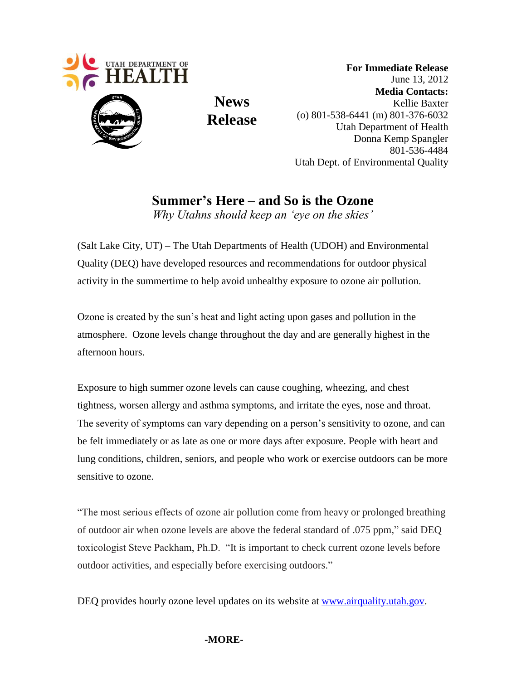

 **For Immediate Release** June 13, 2012  **Media Contacts:** Kellie Baxter (o) 801-538-6441 (m) 801-376-6032 Utah Department of Health Donna Kemp Spangler 801-536-4484 Utah Dept. of Environmental Quality

**Summer's Here – and So is the Ozone** *Why Utahns should keep an 'eye on the skies'*

**News**

**Release**

(Salt Lake City, UT) – The Utah Departments of Health (UDOH) and Environmental Quality (DEQ) have developed resources and recommendations for outdoor physical activity in the summertime to help avoid unhealthy exposure to ozone air pollution.

Ozone is created by the sun's heat and light acting upon gases and pollution in the atmosphere. Ozone levels change throughout the day and are generally highest in the afternoon hours.

Exposure to high summer ozone levels can cause coughing, wheezing, and chest tightness, worsen allergy and asthma symptoms, and irritate the eyes, nose and throat. The severity of symptoms can vary depending on a person's sensitivity to ozone, and can be felt immediately or as late as one or more days after exposure. People with heart and lung conditions, children, seniors, and people who work or exercise outdoors can be more sensitive to ozone.

"The most serious effects of ozone air pollution come from heavy or prolonged breathing of outdoor air when ozone levels are above the federal standard of .075 ppm," said DEQ toxicologist Steve Packham, Ph.D. "It is important to check current ozone levels before outdoor activities, and especially before exercising outdoors."

DEQ provides hourly ozone level updates on its website at www.airquality.utah.gov.

## **-MORE-**